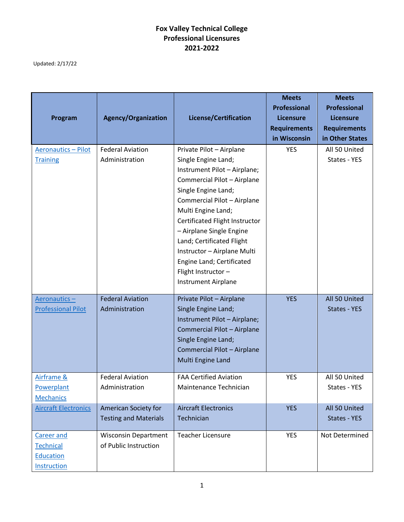# **Fox Valley Technical College Professional Licensures 2021-2022**

Updated: 2/17/22

| Program                                                    | <b>Agency/Organization</b>                           | License/Certification                                                                                                                                                                                                                                                                                                                                                                           | <b>Meets</b><br><b>Professional</b><br><b>Licensure</b><br><b>Requirements</b><br>in Wisconsin | <b>Meets</b><br><b>Professional</b><br><b>Licensure</b><br><b>Requirements</b><br>in Other States |
|------------------------------------------------------------|------------------------------------------------------|-------------------------------------------------------------------------------------------------------------------------------------------------------------------------------------------------------------------------------------------------------------------------------------------------------------------------------------------------------------------------------------------------|------------------------------------------------------------------------------------------------|---------------------------------------------------------------------------------------------------|
| <b>Aeronautics - Pilot</b><br><b>Training</b>              | <b>Federal Aviation</b><br>Administration            | Private Pilot - Airplane<br>Single Engine Land;<br>Instrument Pilot - Airplane;<br>Commercial Pilot - Airplane<br>Single Engine Land;<br>Commercial Pilot - Airplane<br>Multi Engine Land;<br>Certificated Flight Instructor<br>- Airplane Single Engine<br>Land; Certificated Flight<br>Instructor - Airplane Multi<br>Engine Land; Certificated<br>Flight Instructor -<br>Instrument Airplane | <b>YES</b>                                                                                     | All 50 United<br>States - YES                                                                     |
| Aeronautics-<br><b>Professional Pilot</b>                  | <b>Federal Aviation</b><br>Administration            | Private Pilot - Airplane<br>Single Engine Land;<br>Instrument Pilot - Airplane;<br>Commercial Pilot - Airplane<br>Single Engine Land;<br>Commercial Pilot - Airplane<br>Multi Engine Land                                                                                                                                                                                                       | <b>YES</b>                                                                                     | All 50 United<br>States - YES                                                                     |
| Airframe &<br><u>Powerplant</u><br><b>Mechanics</b>        | <b>Federal Aviation</b><br>Administration            | <b>FAA Certified Aviation</b><br>Maintenance Technician                                                                                                                                                                                                                                                                                                                                         | <b>YES</b>                                                                                     | All 50 United<br>States - YES                                                                     |
| <b>Aircraft Electronics</b>                                | American Society for<br><b>Testing and Materials</b> | <b>Aircraft Electronics</b><br>Technician                                                                                                                                                                                                                                                                                                                                                       | <b>YES</b>                                                                                     | All 50 United<br>States - YES                                                                     |
| Career and<br><b>Technical</b><br>Education<br>Instruction | <b>Wisconsin Department</b><br>of Public Instruction | <b>Teacher Licensure</b>                                                                                                                                                                                                                                                                                                                                                                        | <b>YES</b>                                                                                     | Not Determined                                                                                    |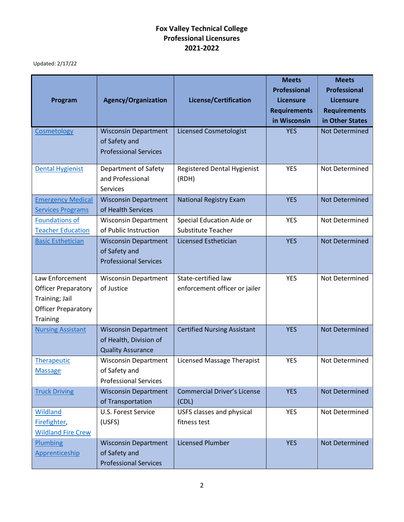# **Fox Valley Technical College Professional Licensures 2021-2022**

#### Updated: 2/17/22

|                            |                              |                                    | <b>Meets</b>        | <b>Meets</b>          |
|----------------------------|------------------------------|------------------------------------|---------------------|-----------------------|
|                            |                              |                                    | <b>Professional</b> | <b>Professional</b>   |
| Program                    | <b>Agency/Organization</b>   | License/Certification              | <b>Licensure</b>    | <b>Licensure</b>      |
|                            |                              |                                    | <b>Requirements</b> | <b>Requirements</b>   |
|                            |                              |                                    | in Wisconsin        | in Other States       |
| Cosmetology                | <b>Wisconsin Department</b>  | <b>Licensed Cosmetologist</b>      | <b>YES</b>          | Not Determined        |
|                            | of Safety and                |                                    |                     |                       |
|                            | <b>Professional Services</b> |                                    |                     |                       |
|                            |                              |                                    |                     |                       |
| <b>Dental Hygienist</b>    | Department of Safety         | Registered Dental Hygienist        | <b>YES</b>          | <b>Not Determined</b> |
|                            | and Professional             | (RDH)                              |                     |                       |
|                            | Services                     |                                    |                     |                       |
| <b>Emergency Medical</b>   | <b>Wisconsin Department</b>  | <b>National Registry Exam</b>      | <b>YES</b>          | <b>Not Determined</b> |
| <b>Services Programs</b>   | of Health Services           |                                    |                     |                       |
| <b>Foundations of</b>      | <b>Wisconsin Department</b>  | Special Education Aide or          | <b>YES</b>          | Not Determined        |
| <b>Teacher Education</b>   | of Public Instruction        | <b>Substitute Teacher</b>          |                     |                       |
| <b>Basic Esthetician</b>   | <b>Wisconsin Department</b>  | <b>Licensed Esthetician</b>        | <b>YES</b>          | Not Determined        |
|                            | of Safety and                |                                    |                     |                       |
|                            | <b>Professional Services</b> |                                    |                     |                       |
| Law Enforcement            | <b>Wisconsin Department</b>  | State-certified law                | <b>YES</b>          | Not Determined        |
|                            | of Justice                   | enforcement officer or jailer      |                     |                       |
| <b>Officer Preparatory</b> |                              |                                    |                     |                       |
| Training; Jail             |                              |                                    |                     |                       |
| <b>Officer Preparatory</b> |                              |                                    |                     |                       |
| Training                   |                              |                                    |                     |                       |
| <b>Nursing Assistant</b>   | <b>Wisconsin Department</b>  | <b>Certified Nursing Assistant</b> | <b>YES</b>          | Not Determined        |
|                            | of Health, Division of       |                                    |                     |                       |
|                            | <b>Quality Assurance</b>     |                                    |                     |                       |
| Therapeutic                | <b>Wisconsin Department</b>  | Licensed Massage Therapist         | <b>YES</b>          | Not Determined        |
| <b>Massage</b>             | of Safety and                |                                    |                     |                       |
|                            | <b>Professional Services</b> |                                    |                     |                       |
| <b>Truck Driving</b>       | <b>Wisconsin Department</b>  | <b>Commercial Driver's License</b> | <b>YES</b>          | Not Determined        |
|                            | of Transportation            | (CDL)                              |                     |                       |
| <b>Wildland</b>            | U.S. Forest Service          | USFS classes and physical          | <b>YES</b>          | Not Determined        |
| Firefighter,               | (USFS)                       | fitness test                       |                     |                       |
| <b>Wildland Fire Crew</b>  |                              |                                    |                     |                       |
| Plumbing                   | <b>Wisconsin Department</b>  | <b>Licensed Plumber</b>            | <b>YES</b>          | Not Determined        |
| Apprenticeship             | of Safety and                |                                    |                     |                       |
|                            | <b>Professional Services</b> |                                    |                     |                       |